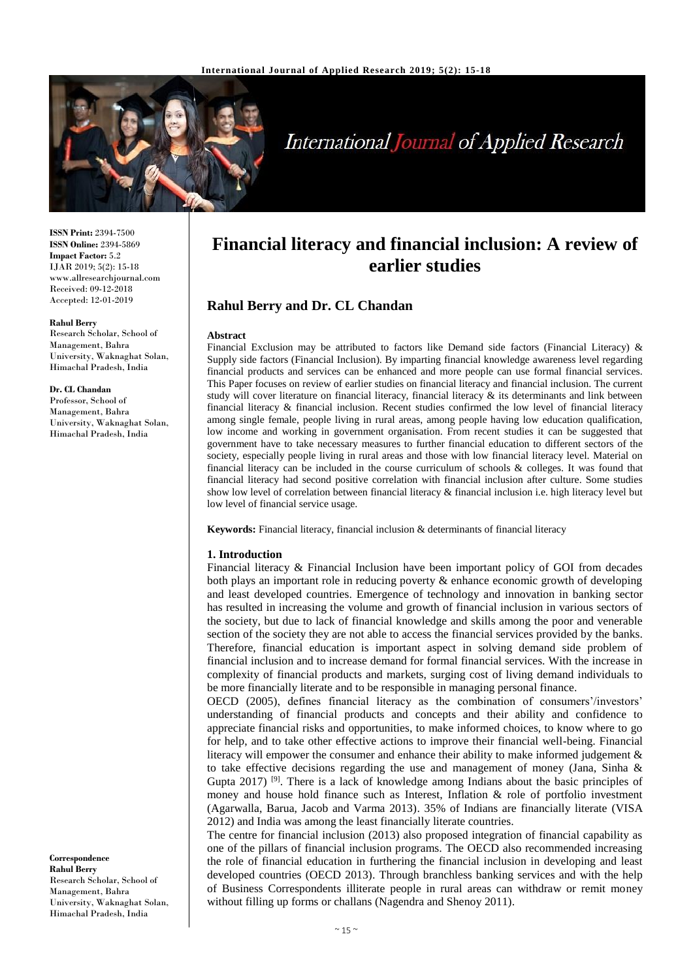

# **International Journal of Applied Research**

**ISSN Print:** 2394-7500 **ISSN Online:** 2394-5869 **Impact Factor:** 5.2 IJAR 2019; 5(2): 15-18 www.allresearchjournal.com Received: 09-12-2018 Accepted: 12-01-2019

#### **Rahul Berry**

Research Scholar, School of Management, Bahra University, Waknaghat Solan, Himachal Pradesh, India

#### **Dr. CL Chandan**

Professor, School of Management, Bahra University, Waknaghat Solan, Himachal Pradesh, India

**Correspondence Rahul Berry** Research Scholar, School of Management, Bahra University, Waknaghat Solan, Himachal Pradesh, India

## **Financial literacy and financial inclusion: A review of earlier studies**

## **Rahul Berry and Dr. CL Chandan**

#### **Abstract**

Financial Exclusion may be attributed to factors like Demand side factors (Financial Literacy) & Supply side factors (Financial Inclusion). By imparting financial knowledge awareness level regarding financial products and services can be enhanced and more people can use formal financial services. This Paper focuses on review of earlier studies on financial literacy and financial inclusion. The current study will cover literature on financial literacy, financial literacy & its determinants and link between financial literacy & financial inclusion. Recent studies confirmed the low level of financial literacy among single female, people living in rural areas, among people having low education qualification, low income and working in government organisation. From recent studies it can be suggested that government have to take necessary measures to further financial education to different sectors of the society, especially people living in rural areas and those with low financial literacy level. Material on financial literacy can be included in the course curriculum of schools & colleges. It was found that financial literacy had second positive correlation with financial inclusion after culture. Some studies show low level of correlation between financial literacy & financial inclusion i.e. high literacy level but low level of financial service usage.

**Keywords:** Financial literacy, financial inclusion & determinants of financial literacy

#### **1. Introduction**

Financial literacy & Financial Inclusion have been important policy of GOI from decades both plays an important role in reducing poverty & enhance economic growth of developing and least developed countries. Emergence of technology and innovation in banking sector has resulted in increasing the volume and growth of financial inclusion in various sectors of the society, but due to lack of financial knowledge and skills among the poor and venerable section of the society they are not able to access the financial services provided by the banks. Therefore, financial education is important aspect in solving demand side problem of financial inclusion and to increase demand for formal financial services. With the increase in complexity of financial products and markets, surging cost of living demand individuals to be more financially literate and to be responsible in managing personal finance.

OECD (2005), defines financial literacy as the combination of consumers'/investors' understanding of financial products and concepts and their ability and confidence to appreciate financial risks and opportunities, to make informed choices, to know where to go for help, and to take other effective actions to improve their financial well-being. Financial literacy will empower the consumer and enhance their ability to make informed judgement & to take effective decisions regarding the use and management of money (Jana, Sinha & Gupta 2017) <sup>[9]</sup>. There is a lack of knowledge among Indians about the basic principles of money and house hold finance such as Interest, Inflation  $\&$  role of portfolio investment (Agarwalla, Barua, Jacob and Varma 2013). 35% of Indians are financially literate (VISA 2012) and India was among the least financially literate countries.

The centre for financial inclusion (2013) also proposed integration of financial capability as one of the pillars of financial inclusion programs. The OECD also recommended increasing the role of financial education in furthering the financial inclusion in developing and least developed countries (OECD 2013). Through branchless banking services and with the help of Business Correspondents illiterate people in rural areas can withdraw or remit money without filling up forms or challans (Nagendra and Shenoy 2011).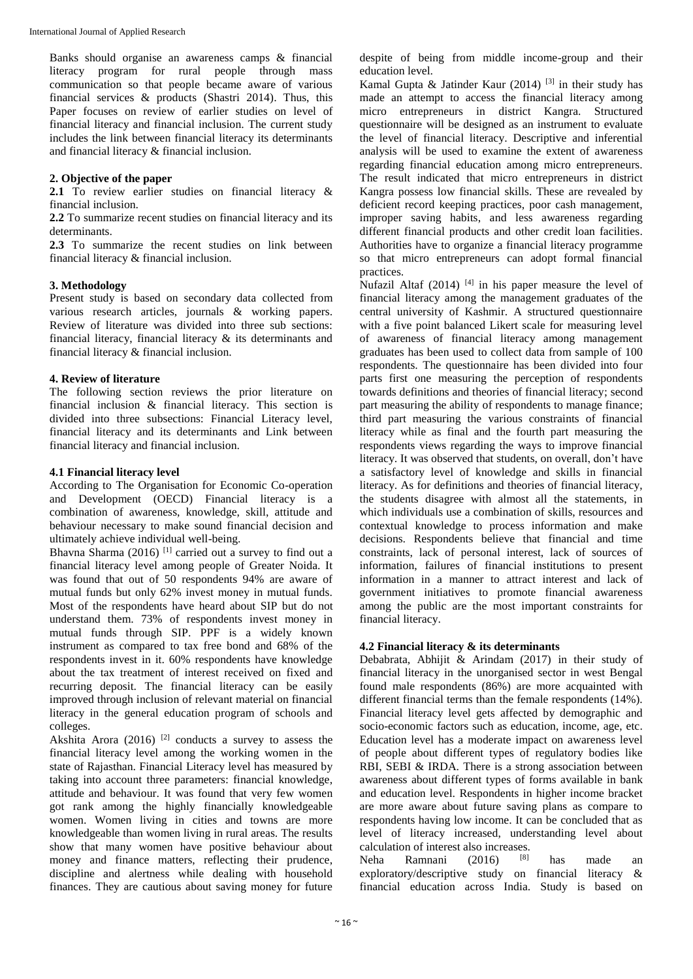Banks should organise an awareness camps & financial literacy program for rural people through mass communication so that people became aware of various financial services & products (Shastri 2014). Thus, this Paper focuses on review of earlier studies on level of financial literacy and financial inclusion. The current study includes the link between financial literacy its determinants and financial literacy & financial inclusion.

## **2. Objective of the paper**

**2.1** To review earlier studies on financial literacy & financial inclusion.

**2.2** To summarize recent studies on financial literacy and its determinants.

**2.3** To summarize the recent studies on link between financial literacy & financial inclusion.

## **3. Methodology**

Present study is based on secondary data collected from various research articles, journals & working papers. Review of literature was divided into three sub sections: financial literacy, financial literacy & its determinants and financial literacy & financial inclusion.

## **4. Review of literature**

The following section reviews the prior literature on financial inclusion & financial literacy. This section is divided into three subsections: Financial Literacy level, financial literacy and its determinants and Link between financial literacy and financial inclusion.

## **4.1 Financial literacy level**

According to The Organisation for Economic Co-operation and Development (OECD) Financial literacy is a combination of awareness, knowledge, skill, attitude and behaviour necessary to make sound financial decision and ultimately achieve individual well-being.

Bhavna Sharma (2016)<sup>[1]</sup> carried out a survey to find out a financial literacy level among people of Greater Noida. It was found that out of 50 respondents 94% are aware of mutual funds but only 62% invest money in mutual funds. Most of the respondents have heard about SIP but do not understand them. 73% of respondents invest money in mutual funds through SIP. PPF is a widely known instrument as compared to tax free bond and 68% of the respondents invest in it. 60% respondents have knowledge about the tax treatment of interest received on fixed and recurring deposit. The financial literacy can be easily improved through inclusion of relevant material on financial literacy in the general education program of schools and colleges.

Akshita Arora (2016)<sup>[2]</sup> conducts a survey to assess the financial literacy level among the working women in the state of Rajasthan. Financial Literacy level has measured by taking into account three parameters: financial knowledge, attitude and behaviour. It was found that very few women got rank among the highly financially knowledgeable women. Women living in cities and towns are more knowledgeable than women living in rural areas. The results show that many women have positive behaviour about money and finance matters, reflecting their prudence, discipline and alertness while dealing with household finances. They are cautious about saving money for future

despite of being from middle income-group and their education level.

Kamal Gupta & Jatinder Kaur (2014)<sup>[3]</sup> in their study has made an attempt to access the financial literacy among micro entrepreneurs in district Kangra. Structured questionnaire will be designed as an instrument to evaluate the level of financial literacy. Descriptive and inferential analysis will be used to examine the extent of awareness regarding financial education among micro entrepreneurs. The result indicated that micro entrepreneurs in district Kangra possess low financial skills. These are revealed by deficient record keeping practices, poor cash management, improper saving habits, and less awareness regarding different financial products and other credit loan facilities. Authorities have to organize a financial literacy programme so that micro entrepreneurs can adopt formal financial practices.

Nufazil Altaf  $(2014)$ <sup>[4]</sup> in his paper measure the level of financial literacy among the management graduates of the central university of Kashmir. A structured questionnaire with a five point balanced Likert scale for measuring level of awareness of financial literacy among management graduates has been used to collect data from sample of 100 respondents. The questionnaire has been divided into four parts first one measuring the perception of respondents towards definitions and theories of financial literacy; second part measuring the ability of respondents to manage finance; third part measuring the various constraints of financial literacy while as final and the fourth part measuring the respondents views regarding the ways to improve financial literacy. It was observed that students, on overall, don't have a satisfactory level of knowledge and skills in financial literacy. As for definitions and theories of financial literacy, the students disagree with almost all the statements, in which individuals use a combination of skills, resources and contextual knowledge to process information and make decisions. Respondents believe that financial and time constraints, lack of personal interest, lack of sources of information, failures of financial institutions to present information in a manner to attract interest and lack of government initiatives to promote financial awareness among the public are the most important constraints for financial literacy.

#### **4.2 Financial literacy & its determinants**

Debabrata, Abhijit & Arindam (2017) in their study of financial literacy in the unorganised sector in west Bengal found male respondents (86%) are more acquainted with different financial terms than the female respondents (14%). Financial literacy level gets affected by demographic and socio-economic factors such as education, income, age, etc. Education level has a moderate impact on awareness level of people about different types of regulatory bodies like RBI, SEBI & IRDA. There is a strong association between awareness about different types of forms available in bank and education level. Respondents in higher income bracket are more aware about future saving plans as compare to respondents having low income. It can be concluded that as level of literacy increased, understanding level about calculation of interest also increases.<br>Neha Ramnani (2016) [8]

Ramnani (2016)  $[8]$  has made an exploratory/descriptive study on financial literacy & financial education across India. Study is based on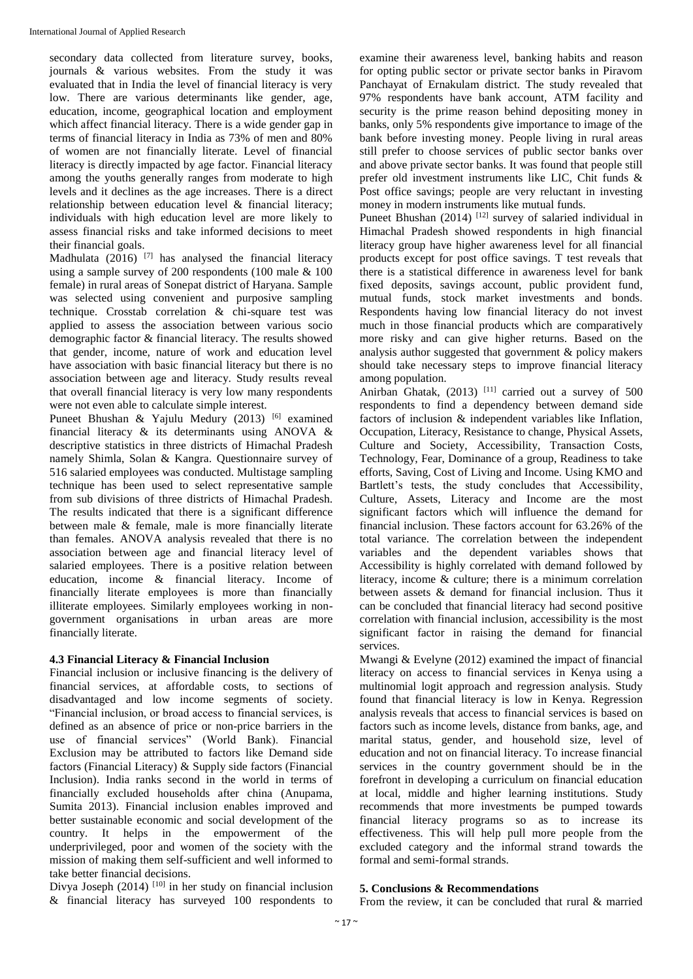secondary data collected from literature survey, books, journals & various websites. From the study it was evaluated that in India the level of financial literacy is very low. There are various determinants like gender, age, education, income, geographical location and employment which affect financial literacy. There is a wide gender gap in terms of financial literacy in India as 73% of men and 80% of women are not financially literate. Level of financial literacy is directly impacted by age factor. Financial literacy among the youths generally ranges from moderate to high levels and it declines as the age increases. There is a direct relationship between education level & financial literacy; individuals with high education level are more likely to assess financial risks and take informed decisions to meet their financial goals.

Madhulata (2016) <sup>[7]</sup> has analysed the financial literacy using a sample survey of 200 respondents (100 male & 100 female) in rural areas of Sonepat district of Haryana. Sample was selected using convenient and purposive sampling technique. Crosstab correlation & chi-square test was applied to assess the association between various socio demographic factor & financial literacy. The results showed that gender, income, nature of work and education level have association with basic financial literacy but there is no association between age and literacy. Study results reveal that overall financial literacy is very low many respondents were not even able to calculate simple interest.

Puneet Bhushan & Yajulu Medury (2013)<sup>[6]</sup> examined financial literacy & its determinants using ANOVA & descriptive statistics in three districts of Himachal Pradesh namely Shimla, Solan & Kangra. Questionnaire survey of 516 salaried employees was conducted. Multistage sampling technique has been used to select representative sample from sub divisions of three districts of Himachal Pradesh. The results indicated that there is a significant difference between male & female, male is more financially literate than females. ANOVA analysis revealed that there is no association between age and financial literacy level of salaried employees. There is a positive relation between education, income & financial literacy. Income of financially literate employees is more than financially illiterate employees. Similarly employees working in nongovernment organisations in urban areas are more financially literate.

## **4.3 Financial Literacy & Financial Inclusion**

Financial inclusion or inclusive financing is the delivery of financial services, at affordable costs, to sections of disadvantaged and low income segments of society. "Financial inclusion, or broad access to financial services, is defined as an absence of price or non-price barriers in the use of financial services" (World Bank). Financial Exclusion may be attributed to factors like Demand side factors (Financial Literacy) & Supply side factors (Financial Inclusion). India ranks second in the world in terms of financially excluded households after china (Anupama, Sumita 2013). Financial inclusion enables improved and better sustainable economic and social development of the country. It helps in the empowerment of the underprivileged, poor and women of the society with the mission of making them self-sufficient and well informed to take better financial decisions.

Divya Joseph (2014)<sup>[10]</sup> in her study on financial inclusion & financial literacy has surveyed 100 respondents to

examine their awareness level, banking habits and reason for opting public sector or private sector banks in Piravom Panchayat of Ernakulam district. The study revealed that 97% respondents have bank account, ATM facility and security is the prime reason behind depositing money in banks, only 5% respondents give importance to image of the bank before investing money. People living in rural areas still prefer to choose services of public sector banks over and above private sector banks. It was found that people still prefer old investment instruments like LIC, Chit funds & Post office savings; people are very reluctant in investing money in modern instruments like mutual funds.

Puneet Bhushan  $(2014)$ <sup>[12]</sup> survey of salaried individual in Himachal Pradesh showed respondents in high financial literacy group have higher awareness level for all financial products except for post office savings. T test reveals that there is a statistical difference in awareness level for bank fixed deposits, savings account, public provident fund, mutual funds, stock market investments and bonds. Respondents having low financial literacy do not invest much in those financial products which are comparatively more risky and can give higher returns. Based on the analysis author suggested that government & policy makers should take necessary steps to improve financial literacy among population.

Anirban Ghatak, (2013)<sup>[11]</sup> carried out a survey of 500 respondents to find a dependency between demand side factors of inclusion & independent variables like Inflation, Occupation, Literacy, Resistance to change, Physical Assets, Culture and Society, Accessibility, Transaction Costs, Technology, Fear, Dominance of a group, Readiness to take efforts, Saving, Cost of Living and Income. Using KMO and Bartlett's tests, the study concludes that Accessibility, Culture, Assets, Literacy and Income are the most significant factors which will influence the demand for financial inclusion. These factors account for 63.26% of the total variance. The correlation between the independent variables and the dependent variables shows that Accessibility is highly correlated with demand followed by literacy, income & culture; there is a minimum correlation between assets & demand for financial inclusion. Thus it can be concluded that financial literacy had second positive correlation with financial inclusion, accessibility is the most significant factor in raising the demand for financial services.

Mwangi & Evelyne (2012) examined the impact of financial literacy on access to financial services in Kenya using a multinomial logit approach and regression analysis. Study found that financial literacy is low in Kenya. Regression analysis reveals that access to financial services is based on factors such as income levels, distance from banks, age, and marital status, gender, and household size, level of education and not on financial literacy. To increase financial services in the country government should be in the forefront in developing a curriculum on financial education at local, middle and higher learning institutions. Study recommends that more investments be pumped towards financial literacy programs so as to increase its effectiveness. This will help pull more people from the excluded category and the informal strand towards the formal and semi-formal strands.

#### **5. Conclusions & Recommendations**

From the review, it can be concluded that rural  $\&$  married